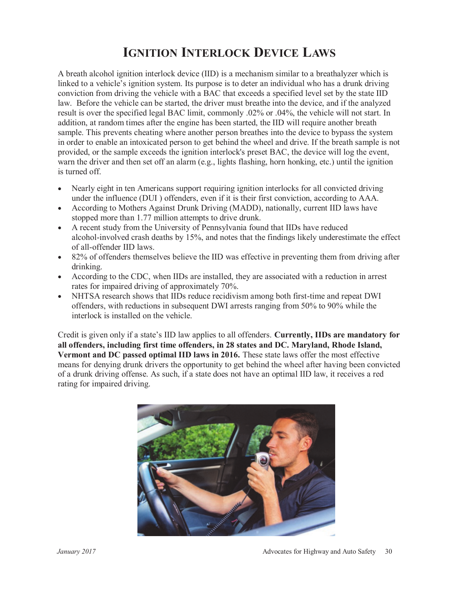#### **IGNITION INTERLOCK DEVICE LAWS**

A breath alcohol ignition interlock device (IID) is a mechanism similar to a breathalyzer which is linked to a vehicle's ignition system. Its purpose is to deter an individual who has a drunk driving conviction from driving the vehicle with a BAC that exceeds a specified level set by the state IID law. Before the vehicle can be started, the driver must breathe into the device, and if the analyzed result is over the specified legal BAC limit, commonly .02% or .04%, the vehicle will not start. In addition, at random times after the engine has been started, the IID will require another breath sample. This prevents cheating where another person breathes into the device to bypass the system in order to enable an intoxicated person to get behind the wheel and drive. If the breath sample is not provided, or the sample exceeds the ignition interlock's preset BAC, the device will log the event, warn the driver and then set off an alarm (e.g., lights flashing, horn honking, etc.) until the ignition is turned off.

- Nearly eight in ten Americans support requiring ignition interlocks for all convicted driving under the influence (DUI ) offenders, even if it is their first conviction, according to AAA.
- According to Mothers Against Drunk Driving (MADD), nationally, current IID laws have stopped more than 1.77 million attempts to drive drunk.
- A recent study from the University of Pennsylvania found that IIDs have reduced alcohol-involved crash deaths by 15%, and notes that the findings likely underestimate the effect of all-offender IID laws.
- 82% of offenders themselves believe the IID was effective in preventing them from driving after drinking.
- According to the CDC, when IIDs are installed, they are associated with a reduction in arrest rates for impaired driving of approximately 70%.
- NHTSA research shows that IIDs reduce recidivism among both first-time and repeat DWI offenders, with reductions in subsequent DWI arrests ranging from 50% to 90% while the interlock is installed on the vehicle.

Credit is given only if a state's IID law applies to all offenders. **Currently, IIDs are mandatory for all offenders, including first time offenders, in 28 states and DC. Maryland, Rhode Island, Vermont and DC passed optimal IID laws in 2016.** These state laws offer the most effective means for denying drunk drivers the opportunity to get behind the wheel after having been convicted of a drunk driving offense. As such, if a state does not have an optimal IID law, it receives a red rating for impaired driving.

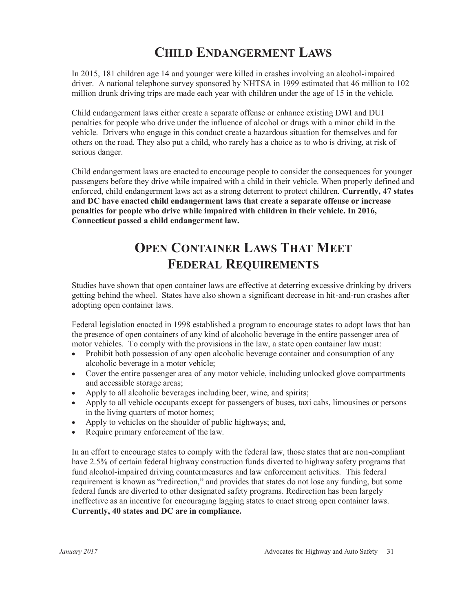### **CHILD ENDANGERMENT LAWS**

In 2015, 181 children age 14 and younger were killed in crashes involving an alcohol-impaired driver. A national telephone survey sponsored by NHTSA in 1999 estimated that 46 million to 102 million drunk driving trips are made each year with children under the age of 15 in the vehicle.

Child endangerment laws either create a separate offense or enhance existing DWI and DUI penalties for people who drive under the influence of alcohol or drugs with a minor child in the vehicle. Drivers who engage in this conduct create a hazardous situation for themselves and for others on the road. They also put a child, who rarely has a choice as to who is driving, at risk of serious danger.

Child endangerment laws are enacted to encourage people to consider the consequences for younger passengers before they drive while impaired with a child in their vehicle. When properly defined and enforced, child endangerment laws act as a strong deterrent to protect children. **Currently, 47 states and DC have enacted child endangerment laws that create a separate offense or increase penalties for people who drive while impaired with children in their vehicle. In 2016, Connecticut passed a child endangerment law.**

# **OPEN CONTAINER LAWS THAT MEET FEDERAL REQUIREMENTS**

Studies have shown that open container laws are effective at deterring excessive drinking by drivers getting behind the wheel. States have also shown a significant decrease in hit-and-run crashes after adopting open container laws.

Federal legislation enacted in 1998 established a program to encourage states to adopt laws that ban the presence of open containers of any kind of alcoholic beverage in the entire passenger area of motor vehicles. To comply with the provisions in the law, a state open container law must:

- Prohibit both possession of any open alcoholic beverage container and consumption of any alcoholic beverage in a motor vehicle;
- Cover the entire passenger area of any motor vehicle, including unlocked glove compartments and accessible storage areas;
- Apply to all alcoholic beverages including beer, wine, and spirits;
- Apply to all vehicle occupants except for passengers of buses, taxi cabs, limousines or persons in the living quarters of motor homes;
- Apply to vehicles on the shoulder of public highways; and,
- Require primary enforcement of the law.

In an effort to encourage states to comply with the federal law, those states that are non-compliant have 2.5% of certain federal highway construction funds diverted to highway safety programs that fund alcohol-impaired driving countermeasures and law enforcement activities. This federal requirement is known as "redirection," and provides that states do not lose any funding, but some federal funds are diverted to other designated safety programs. Redirection has been largely ineffective as an incentive for encouraging lagging states to enact strong open container laws. **Currently, 40 states and DC are in compliance.**